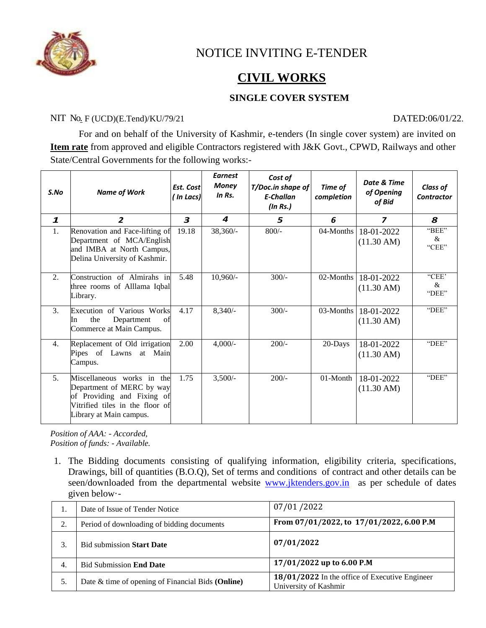

# NOTICE INVITING E-TENDER

# **CIVIL WORKS**

## **SINGLE COVER SYSTEM**

### NIT No<sub>.</sub> F (UCD)(E.Tend)/KU/79/21 DATED:06/01/22.

For and on behalf of the University of Kashmir, e-tenders (In single cover system) are invited on **Item rate** from approved and eligible Contractors registered with J&K Govt., CPWD, Railways and other State/Central Governments for the following works:-

| S.No         | <b>Name of Work</b>                                                                                                                                 | Est. Cost<br>( In Lacs) | <b>Earnest</b><br>Money<br>$In$ $Rs.$ | Cost of<br>T/Doc.in shape of<br><b>E-Challan</b><br>(ln Rs.) | Time of<br>completion | Date & Time<br>of Opening<br>of Bid | <b>Class of</b><br><b>Contractor</b> |
|--------------|-----------------------------------------------------------------------------------------------------------------------------------------------------|-------------------------|---------------------------------------|--------------------------------------------------------------|-----------------------|-------------------------------------|--------------------------------------|
| $\mathbf{1}$ | $\overline{2}$                                                                                                                                      | 3                       | 4                                     | 5                                                            | 6                     | $\overline{z}$                      | 8                                    |
| 1.           | Renovation and Face-lifting of<br>Department of MCA/English<br>and IMBA at North Campus,<br>Delina University of Kashmir.                           | 19.18                   | 38,360/-                              | $800/-$                                                      | 04-Months             | 18-01-2022<br>$(11.30 \text{ AM})$  | "BEE"<br>&<br>"CEE"                  |
| 2.           | Construction of Almirahs in<br>three rooms of Alllama Iqbal<br>Library.                                                                             | 5.48                    | $10,960/-$                            | $300/-$                                                      | 02-Months             | 18-01-2022<br>$(11.30 \text{ AM})$  | "CEE'<br>&<br>"DEE"                  |
| 3.           | Execution of Various Works<br>the<br>Department<br>of<br>In<br>Commerce at Main Campus.                                                             | 4.17                    | $8,340/-$                             | $300/-$                                                      | $03-Months$           | 18-01-2022<br>$(11.30 \text{ AM})$  | "DEE"                                |
| 4.           | Replacement of Old irrigation<br>Pipes of Lawns at Main<br>Campus.                                                                                  | 2.00                    | $4,000/-$                             | $200/-$                                                      | 20-Days               | 18-01-2022<br>$(11.30 \text{ AM})$  | "DEE"                                |
| 5.           | Miscellaneous works in the<br>Department of MERC by way<br>of Providing and Fixing of<br>Vitrified tiles in the floor of<br>Library at Main campus. | 1.75                    | $3,500/-$                             | $200/-$                                                      | 01-Month              | 18-01-2022<br>$(11.30 \text{ AM})$  | "DEE"                                |

*Position of AAA: - Accorded, Position of funds: - Available.*

1. The Bidding documents consisting of qualifying information, eligibility criteria, specifications, Drawings, bill of quantities (B.O.Q), Set of terms and conditions of contract and other details can be seen/downloaded from the departmental website [www.jktenders.gov.in](http://www.jktenders.gov.in/) as per schedule of dates given below·-

|    | Date of Issue of Tender Notice                    | 07/01/2022                                                              |  |  |  |
|----|---------------------------------------------------|-------------------------------------------------------------------------|--|--|--|
| 2. | Period of downloading of bidding documents        | From 07/01/2022, to 17/01/2022, 6.00 P.M                                |  |  |  |
|    | <b>Bid submission Start Date</b>                  | 07/01/2022                                                              |  |  |  |
| 4. | <b>Bid Submission End Date</b>                    | 17/01/2022 up to 6.00 P.M                                               |  |  |  |
| 5. | Date & time of opening of Financial Bids (Online) | 18/01/2022 In the office of Executive Engineer<br>University of Kashmir |  |  |  |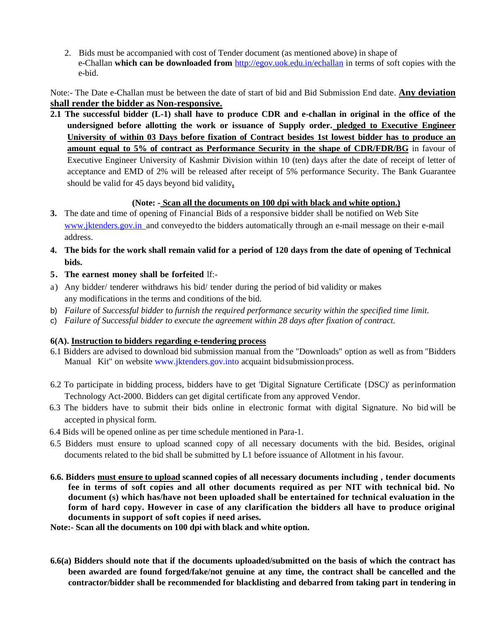2. Bids must be accompanied with cost of Tender document (as mentioned above) in shape of e-Challan **which can be downloaded from** <http://egov.uok.edu.in/echallan> in terms of soft copies with the e-bid.

Note:- The Date e-Challan must be between the date of start of bid and Bid Submission End date. **Any deviation shall render the bidder as Non-responsive.**

**2.1 The successful bidder (L-1) shall have to produce CDR and e-challan in original in the office of the undersigned before allotting the work or issuance of Supply order. pledged to Executive Engineer University of within 03 Days before fixation of Contract besides 1st lowest bidder has to produce an amount equal to 5% of contract as Performance Security in the shape of CDR/FDR/BG** in favour of Executive Engineer University of Kashmir Division within 10 (ten) days after the date of receipt of letter of acceptance and EMD of 2% will be released after receipt of 5% performance Security. The Bank Guarantee should be valid for 45 days beyond bid validity**.**

### **(Note: - Scan all the documents on 100 dpi with black and white option.)**

- **3.** The date and time of opening of Financial Bids of a responsive bidder shall be notified on Web Site www.jktenders.gov.in and conveyed to the bidders automatically through an e-mail message on their e-mail address.
- 4. The bids for the work shall remain valid for a period of 120 days from the date of opening of Technical **bids.**
- **5. The earnest money shall be forfeited** lf:-
- a) Any bidder/ tenderer withdraws his bid/ tender during the period of bid validity or makes any modifications in the terms and conditions of the bid.
- b) *Failure* of *Successful bidder* to *furnish the required performance security within the specified time limit.*
- c) *Failure of Successful bidder to execute the agreement within 28 days after fixation of contract.*

#### **6(A). Instruction to bidders regarding e-tendering process**

- 6.1 Bidders are advised to download bid submission manual from the "Downloads" option as well as from "Bidders Manual Kit" on website [www.jktenders.gov.into](http://www.jktenders.gov.into/) acquaint bid submission process.
- 6.2 To participate in bidding process, bidders have to get 'Digital Signature Certificate {DSC)' as perinformation Technology Act-2000. Bidders can get digital certificate from any approved Vendor.
- 6.3 The bidders have to submit their bids online in electronic format with digital Signature. No bid will be accepted in physical form.
- 6.4 Bids will be opened online as per time schedule mentioned in Para-1.
- 6.5 Bidders must ensure to upload scanned copy of all necessary documents with the bid. Besides, original documents related to the bid shall be submitted by L1 before issuance of Allotment in his favour.
- **6.6. Bidders must ensure to upload scanned copies of all necessary documents including , tender documents fee in terms of soft copies and all other documents required as per NIT with technical bid. No document (s) which has/have not been uploaded shall be entertained for technical evaluation in the form of hard copy. However in case of any clarification the bidders all have to produce original documents in support of soft copies if need arises.**

**Note:- Scan all the documents on 100 dpi with black and white option.**

**6.6(a) Bidders should note that if the documents uploaded/submitted on the basis of which the contract has been awarded are found forged/fake/not genuine at any time, the contract shall be cancelled and the contractor/bidder shall be recommended for blacklisting and debarred from taking part in tendering in**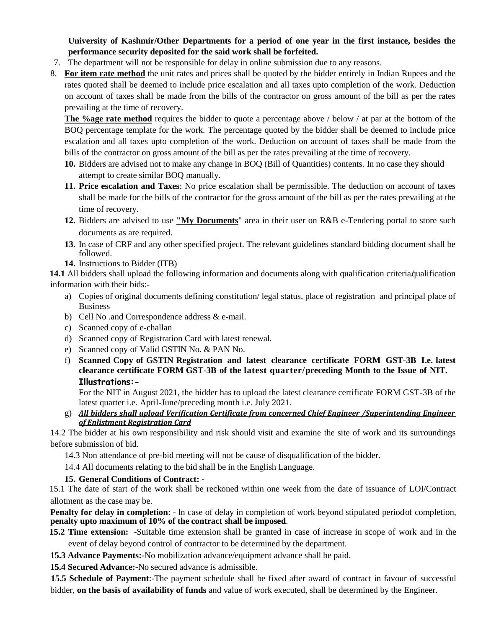**University of Kashmir/Other Departments for a period of one year in the first instance, besides the performance security deposited for the said work shall be forfeited.** 

- 7. The department will not be responsible for delay in online submission due to any reasons.
- 8. **For item rate method** the unit rates and prices shall be quoted by the bidder entirely in Indian Rupees and the rates quoted shall be deemed to include price escalation and all taxes upto completion of the work. Deduction on account of taxes shall be made from the bills of the contractor on gross amount of the bill as per the rates prevailing at the time of recovery.

**The %age rate method** requires the bidder to quote a percentage above / below / at par at the bottom of the BOQ percentage template for the work. The percentage quoted by the bidder shall be deemed to include price escalation and all taxes upto completion of the work. Deduction on account of taxes shall be made from the bills of the contractor on gross amount of the bill as per the rates prevailing at the time of recovery.

- **10.** Bidders are advised not to make any change in BOQ (Bill of Quantities) contents. In no case they should attempt to create similar BOQ manually.
- **11. Price escalation and Taxes**: No price escalation shall be permissible. The deduction on account of taxes shall be made for the bills of the contractor for the gross amount of the bill as per the rates prevailing at the time of recovery.
- **12.** Bidders are advised to use **"My Documents**" area in their user on R&B e-Tendering portal to store such documents as are required.
- **13.** In case of CRF and any other specified project. The relevant guidelines standard bidding document shall be followed.
- **14.** Instructions to Bidder (ITB)

**14.1** All bidders shall upload the following information and documents along with qualification criteria/qualification information with their bids:-

- a) Copies of original documents defining constitution/ legal status, place of registration and principal place of Business
- b) Cell No .and Correspondence address & e-mail.
- c) Scanned copy of e-challan
- d) Scanned copy of Registration Card with latest renewal.
- e) Scanned copy of Valid GSTIN No. & PAN No.
- f) **Scanned Copy of GSTIN Registration and latest clearance certificate FORM GST-3B I.e. latest clearance certificate FORM GST-3B of the latest quarter/preceding Month to the Issue of NIT. Illustrations:-**

For the NIT in August 2021, the bidder has to upload the latest clearance certificate FORM GST-3B of the latest quarter i.e. April-June/preceding month i.e. July 2021.

g) *All bidders shall upload Verification Certificate from concerned Chief Engineer /Superintending Engineer of Enlistment Registration Card*

14.2 The bidder at his own responsibility and risk should visit and examine the site of work and its surroundings before submission of bid.

14.3 Non attendance of pre-bid meeting will not be cause of disqualification of the bidder.

14.4 All documents relating to the bid shall be in the English Language.

### **15. General Conditions of Contract: -**

15.1 The date of start of the work shall be reckoned within one week from the date of issuance of LOI/Contract allotment as the case may be.

**Penalty for delay in completion**: - In case of delay in completion of work beyond stipulated periodof completion, **penalty upto maximum of 10% of the contract shall be imposed**.

**15.2 Time extension:** -Suitable time extension shall be granted in case of increase in scope of work and in the event of delay beyond control of contractor to be determined by the department.

**15.3 Advance Payments:-**No mobilization advance/equipment advance shall be paid.

**15.4 Secured Advance:-**No secured advance is admissible.

**15.5 Schedule of Payment**:-The payment schedule shall be fixed after award of contract in favour of successful bidder, **on the basis of availability of funds** and value of work executed, shall be determined by the Engineer.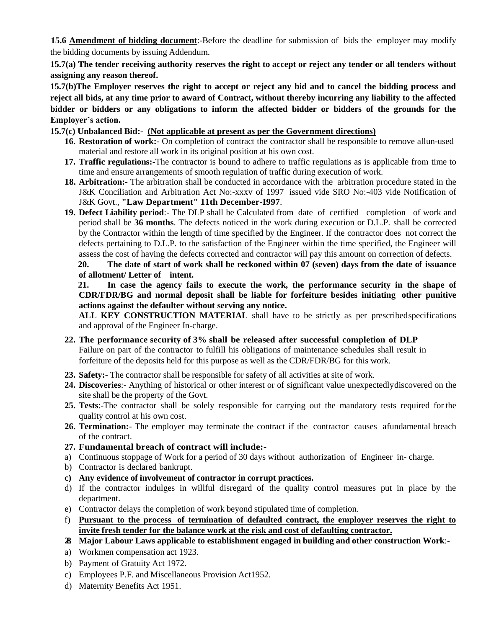**15.6 Amendment of bidding document**:-Before the deadline for submission of bids the employer may modify the bidding documents by issuing Addendum.

**15.7(a) The tender receiving authority reserves the right to accept or reject any tender or all tenders without assigning any reason thereof.**

**15.7(b)The Employer reserves the right to accept or reject any bid and to cancel the bidding process and reject all bids, at any time prior to award of Contract, without thereby incurring any liability to the affected bidder or bidders or any obligations to inform the affected bidder or bidders of the grounds for the Employer's action.**

### **15.7(c) Unbalanced Bid:- (Not applicable at present as per the Government directions)**

- **16. Restoration of work:-** On completion of contract the contractor shall be responsible to remove allun-used material and restore all work in its original position at his own cost.
- **17. Traffic regulations:-**The contractor is bound to adhere to traffic regulations as is applicable from time to time and ensure arrangements of smooth regulation of traffic during execution of work.
- **18. Arbitration:-** The arbitration shall be conducted in accordance with the arbitration procedure stated in the J&K Conciliation and Arbitration Act No:-xxxv of 1997 issued vide SRO No:-403 vide Notification of J&K Govt., **"Law Department" 11th December-I997**.
- **19. Defect Liability period**:- The DLP shall be Calculated from date of certified completion of work and period shall be **36 months**. The defects noticed in the work during execution or D.L.P. shall be corrected by the Contractor within the length of time specified by the Engineer. If the contractor does not correct the defects pertaining to D.L.P. to the satisfaction of the Engineer within the time specified, the Engineer will assess the cost of having the defects corrected and contractor will pay this amount on correction of defects.

#### **20. The date of start of work shall be reckoned within 07 (seven) days from the date of issuance of allotment/ Letter of intent.**

**21. In case the agency fails to execute the work, the performance security in the shape of CDR/FDR/BG and normal deposit shall be liable for forfeiture besides initiating other punitive actions against the defaulter without serving any notice.**

**ALL KEY CONSTRUCTION MATERIAL** shall have to be strictly as per prescribedspecifications and approval of the Engineer In-charge.

- **22. The performance security of 3% shall be released after successful completion of DLP** Failure on part of the contractor to fulfill his obligations of maintenance schedules shall result in forfeiture of the deposits held for this purpose as well as the CDR/FDR/BG for this work.
- **23. Safety:** The contractor shall be responsible for safety of all activities at site of work.
- **24. Discoveries**:- Anything of historical or other interest or of significant value unexpectedlydiscovered on the site shall be the property of the Govt.
- **25. Tests**:-The contractor shall be solely responsible for carrying out the mandatory tests required for the quality control at his own cost.
- **26. Termination:** The employer may terminate the contract if the contractor causes afundamental breach of the contract.
- **27. Fundamental breach of contract will include:-**
- a) Continuous stoppage of Work for a period of 30 days without authorization of Engineer in- charge.
- b) Contractor is declared bankrupt.
- **c) Any evidence of involvement of contractor in corrupt practices.**
- d) If the contractor indulges in willful disregard of the quality control measures put in place by the department.
- e) Contractor delays the completion of work beyond stipulated time of completion.
- f) **Pursuant to the process of termination of defaulted contract, the employer reserves the right to invite fresh tender for the balance work at the risk and cost of defaulting contractor.**
- **28. Major Labour Laws applicable to establishment engaged in building and other construction Work**:-
- a) Workmen compensation act 1923.
- b) Payment of Gratuity Act 1972.
- c) Employees P.F. and Miscellaneous Provision Act1952.
- d) Maternity Benefits Act 1951.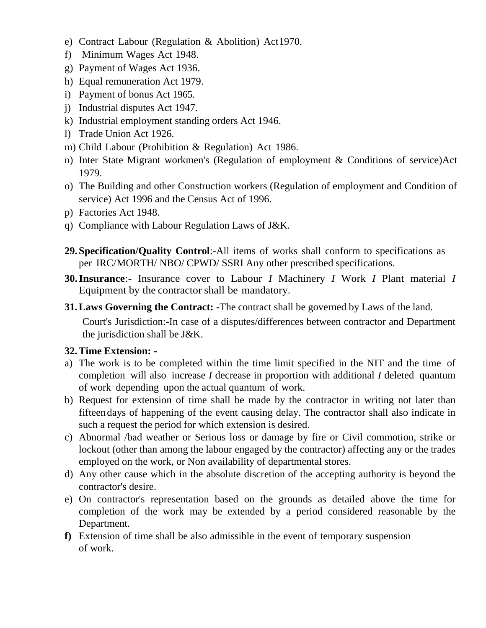- e) Contract Labour (Regulation & Abolition) Act1970.
- f) Minimum Wages Act 1948.
- g) Payment of Wages Act 1936.
- h) Equal remuneration Act 1979.
- i) Payment of bonus Act 1965.
- j) Industrial disputes Act 1947.
- k) Industrial employment standing orders Act 1946.
- l) Trade Union Act 1926.
- m) Child Labour (Prohibition & Regulation) Act 1986.
- n) Inter State Migrant workmen's (Regulation of employment & Conditions of service)Act 1979.
- o) The Building and other Construction workers (Regulation of employment and Condition of service) Act 1996 and the Census Act of 1996.
- p) Factories Act 1948.
- q) Compliance with Labour Regulation Laws of J&K.
- **29.Specification/Quality Control**:-All items of works shall conform to specifications as per IRC/MORTH/ NBO/ CPWD/ SSRI Any other prescribed specifications.
- **30.Insurance**:- Insurance cover to Labour *I* Machinery *I* Work *I* Plant material *I*  Equipment by the contractor shall be mandatory.
- **31.Laws Governing the Contract: -**The contract shall be governed by Laws of the land. Court's Jurisdiction:-In case of a disputes/differences between contractor and Department the jurisdiction shall be J&K.

# **32.Time Extension: -**

- a) The work is to be completed within the time limit specified in the NIT and the time of completion will also increase *I* decrease in proportion with additional *I* deleted quantum of work depending upon the actual quantum of work.
- b) Request for extension of time shall be made by the contractor in writing not later than fifteendays of happening of the event causing delay. The contractor shall also indicate in such a request the period for which extension is desired.
- c) Abnormal /bad weather or Serious loss or damage by fire or Civil commotion, strike or lockout (other than among the labour engaged by the contractor) affecting any or the trades employed on the work, or Non availability of departmental stores.
- d) Any other cause which in the absolute discretion of the accepting authority is beyond the contractor's desire.
- e) On contractor's representation based on the grounds as detailed above the time for completion of the work may be extended by a period considered reasonable by the Department.
- **f)** Extension of time shall be also admissible in the event of temporary suspension of work.